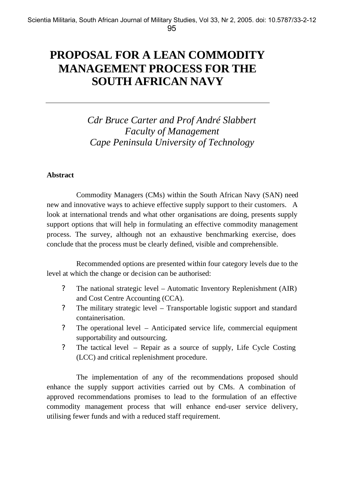# **PROPOSAL FOR A LEAN COMMODITY MANAGEMENT PROCESS FOR THE SOUTH AFRICAN NAVY**

# *Cdr Bruce Carter and Prof André Slabbert Faculty of Management Cape Peninsula University of Technology*

# **Abstract**

Commodity Managers (CMs) within the South African Navy (SAN) need new and innovative ways to achieve effective supply support to their customers. A look at international trends and what other organisations are doing, presents supply support options that will help in formulating an effective commodity management process. The survey, although not an exhaustive benchmarking exercise, does conclude that the process must be clearly defined, visible and comprehensible.

Recommended options are presented within four category levels due to the level at which the change or decision can be authorised:

- ? The national strategic level Automatic Inventory Replenishment (AIR) and Cost Centre Accounting (CCA).
- ? The military strategic level Transportable logistic support and standard containerisation.
- ? The operational level Anticipated service life, commercial equipment supportability and outsourcing.
- ? The tactical level Repair as a source of supply, Life Cycle Costing (LCC) and critical replenishment procedure.

The implementation of any of the recommendations proposed should enhance the supply support activities carried out by CMs. A combination of approved recommendations promises to lead to the formulation of an effective commodity management process that will enhance end-user service delivery, utilising fewer funds and with a reduced staff requirement.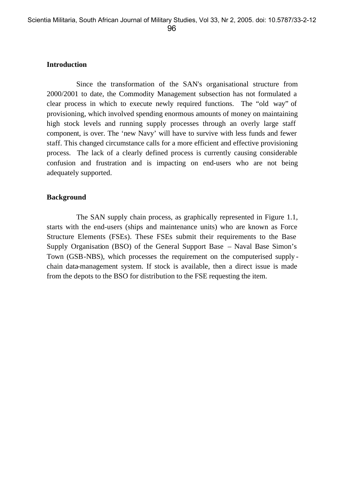#### **Introduction**

Since the transformation of the SAN's organisational structure from 2000/2001 to date, the Commodity Management subsection has not formulated a clear process in which to execute newly required functions. The "old way" of provisioning, which involved spending enormous amounts of money on maintaining high stock levels and running supply processes through an overly large staff component, is over. The 'new Navy' will have to survive with less funds and fewer staff. This changed circumstance calls for a more efficient and effective provisioning process. The lack of a clearly defined process is currently causing considerable confusion and frustration and is impacting on end-users who are not being adequately supported.

#### **Background**

The SAN supply chain process, as graphically represented in Figure 1.1, starts with the end-users (ships and maintenance units) who are known as Force Structure Elements (FSEs). These FSEs submit their requirements to the Base Supply Organisation (BSO) of the General Support Base – Naval Base Simon's Town (GSB-NBS), which processes the requirement on the computerised supply chain data-management system. If stock is available, then a direct issue is made from the depots to the BSO for distribution to the FSE requesting the item.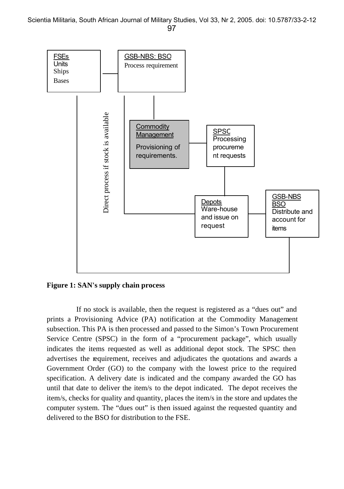

**Figure 1: SAN's supply chain process**

If no stock is available, then the request is registered as a "dues out" and prints a Provisioning Advice (PA) notification at the Commodity Management subsection. This PA is then processed and passed to the Simon's Town Procurement Service Centre (SPSC) in the form of a "procurement package", which usually indicates the items requested as well as additional depot stock. The SPSC then advertises the requirement, receives and adjudicates the quotations and awards a Government Order (GO) to the company with the lowest price to the required specification. A delivery date is indicated and the company awarded the GO has until that date to deliver the item/s to the depot indicated. The depot receives the item/s, checks for quality and quantity, places the item/s in the store and updates the computer system. The "dues out" is then issued against the requested quantity and delivered to the BSO for distribution to the FSE.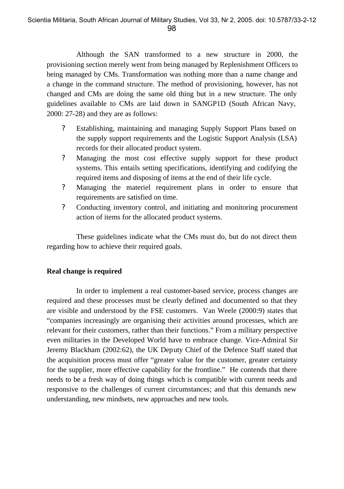Although the SAN transformed to a new structure in 2000, the provisioning section merely went from being managed by Replenishment Officers to being managed by CMs. Transformation was nothing more than a name change and a change in the command structure. The method of provisioning, however, has not changed and CMs are doing the same old thing but in a new structure. The only guidelines available to CMs are laid down in SANGP1D (South African Navy, 2000: 27-28) and they are as follows:

- ? Establishing, maintaining and managing Supply Support Plans based on the supply support requirements and the Logistic Support Analysis (LSA) records for their allocated product system.
- ? Managing the most cost effective supply support for these product systems. This entails setting specifications, identifying and codifying the required items and disposing of items at the end of their life cycle.
- ? Managing the materiel requirement plans in order to ensure that requirements are satisfied on time.
- ? Conducting inventory control, and initiating and monitoring procurement action of items for the allocated product systems.

These guidelines indicate what the CMs must do, but do not direct them regarding how to achieve their required goals.

# **Real change is required**

In order to implement a real customer-based service, process changes are required and these processes must be clearly defined and documented so that they are visible and understood by the FSE customers. Van Weele (2000:9) states that "companies increasingly are organising their activities around processes, which are relevant for their customers, rather than their functions." From a military perspective even militaries in the Developed World have to embrace change. Vice-Admiral Sir Jeremy Blackham (2002:62), the UK Deputy Chief of the Defence Staff stated that the acquisition process must offer "greater value for the customer, greater certainty for the supplier, more effective capability for the frontline." He contends that there needs to be a fresh way of doing things which is compatible with current needs and responsive to the challenges of current circumstances; and that this demands new understanding, new mindsets, new approaches and new tools.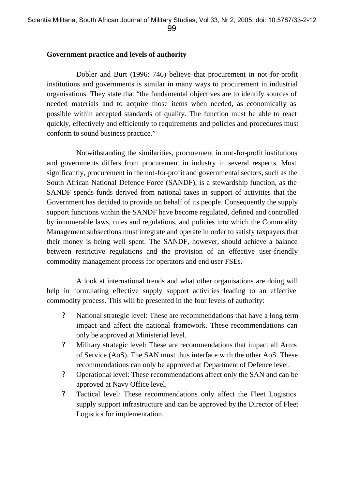#### **Government practice and levels of authority**

Dobler and Burt (1996: 746) believe that procurement in not-for-profit institutions and governments is similar in many ways to procurement in industrial organisations. They state that "the fundamental objectives are to identify sources of needed materials and to acquire those items when needed, as economically as possible within accepted standards of quality. The function must be able to react quickly, effectively and efficiently to requirements and policies and procedures must conform to sound business practice."

Notwithstanding the similarities, procurement in not-for-profit institutions and governments differs from procurement in industry in several respects. Most significantly, procurement in the not-for-profit and governmental sectors, such as the South African National Defence Force (SANDF), is a stewardship function, as the SANDF spends funds derived from national taxes in support of activities that the Government has decided to provide on behalf of its people. Consequently the supply support functions within the SANDF have become regulated, defined and controlled by innumerable laws, rules and regulations, and policies into which the Commodity Management subsections must integrate and operate in order to satisfy taxpayers that their money is being well spent. The SANDF, however, should achieve a balance between restrictive regulations and the provision of an effective user-friendly commodity management process for operators and end user FSEs.

A look at international trends and what other organisations are doing will help in formulating effective supply support activities leading to an effective commodity process. This will be presented in the four levels of authority:

- ? National strategic level: These are recommendations that have a long term impact and affect the national framework. These recommendations can only be approved at Ministerial level.
- ? Military strategic level: These are recommendations that impact all Arms of Service (AoS). The SAN must thus interface with the other AoS. These recommendations can only be approved at Department of Defence level.
- ? Operational level: These recommendations affect only the SAN and can be approved at Navy Office level.
- ? Tactical level: These recommendations only affect the Fleet Logistics supply support infrastructure and can be approved by the Director of Fleet Logistics for implementation.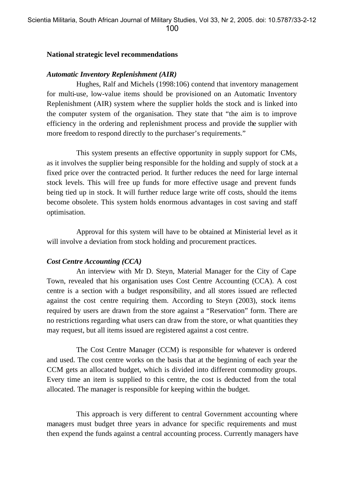#### **National strategic level recommendations**

#### *Automatic Inventory Replenishment (AIR)*

Hughes, Ralf and Michels (1998:106) contend that inventory management for multi-use, low-value items should be provisioned on an Automatic Inventory Replenishment (AIR) system where the supplier holds the stock and is linked into the computer system of the organisation. They state that "the aim is to improve efficiency in the ordering and replenishment process and provide the supplier with more freedom to respond directly to the purchaser's requirements."

This system presents an effective opportunity in supply support for CMs, as it involves the supplier being responsible for the holding and supply of stock at a fixed price over the contracted period. It further reduces the need for large internal stock levels. This will free up funds for more effective usage and prevent funds being tied up in stock. It will further reduce large write off costs, should the items become obsolete. This system holds enormous advantages in cost saving and staff optimisation.

Approval for this system will have to be obtained at Ministerial level as it will involve a deviation from stock holding and procurement practices.

#### *Cost Centre Accounting (CCA)*

An interview with Mr D. Steyn, Material Manager for the City of Cape Town, revealed that his organisation uses Cost Centre Accounting (CCA). A cost centre is a section with a budget responsibility, and all stores issued are reflected against the cost centre requiring them. According to Steyn (2003), stock items required by users are drawn from the store against a "Reservation" form. There are no restrictions regarding what users can draw from the store, or what quantities they may request, but all items issued are registered against a cost centre.

The Cost Centre Manager (CCM) is responsible for whatever is ordered and used. The cost centre works on the basis that at the beginning of each year the CCM gets an allocated budget, which is divided into different commodity groups. Every time an item is supplied to this centre, the cost is deducted from the total allocated. The manager is responsible for keeping within the budget.

This approach is very different to central Government accounting where managers must budget three years in advance for specific requirements and must then expend the funds against a central accounting process. Currently managers have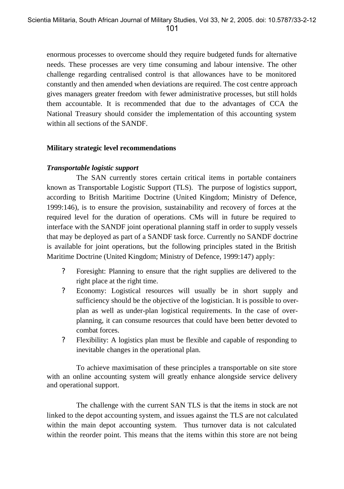enormous processes to overcome should they require budgeted funds for alternative needs. These processes are very time consuming and labour intensive. The other challenge regarding centralised control is that allowances have to be monitored constantly and then amended when deviations are required. The cost centre approach gives managers greater freedom with fewer administrative processes, but still holds them accountable. It is recommended that due to the advantages of CCA the National Treasury should consider the implementation of this accounting system within all sections of the SANDF.

#### **Military strategic level recommendations**

# *Transportable logistic support*

The SAN currently stores certain critical items in portable containers known as Transportable Logistic Support (TLS). The purpose of logistics support, according to British Maritime Doctrine (United Kingdom; Ministry of Defence, 1999:146), is to ensure the provision, sustainability and recovery of forces at the required level for the duration of operations. CMs will in future be required to interface with the SANDF joint operational planning staff in order to supply vessels that may be deployed as part of a SANDF task force. Currently no SANDF doctrine is available for joint operations, but the following principles stated in the British Maritime Doctrine (United Kingdom; Ministry of Defence, 1999:147) apply:

- ? Foresight: Planning to ensure that the right supplies are delivered to the right place at the right time.
- ? Economy: Logistical resources will usually be in short supply and sufficiency should be the objective of the logistician. It is possible to overplan as well as under-plan logistical requirements. In the case of overplanning, it can consume resources that could have been better devoted to combat forces.
- ? Flexibility: A logistics plan must be flexible and capable of responding to inevitable changes in the operational plan.

To achieve maximisation of these principles a transportable on site store with an online accounting system will greatly enhance alongside service delivery and operational support.

The challenge with the current SAN TLS is that the items in stock are not linked to the depot accounting system, and issues against the TLS are not calculated within the main depot accounting system. Thus turnover data is not calculated within the reorder point. This means that the items within this store are not being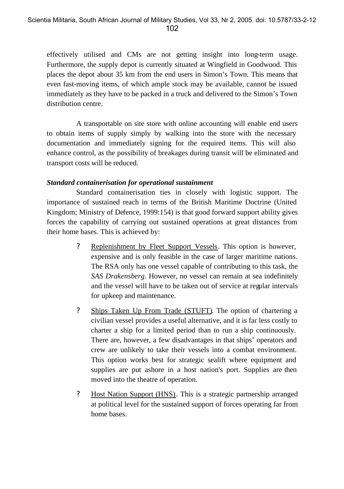effectively utilised and CMs are not getting insight into long-term usage. Furthermore, the supply depot is currently situated at Wingfield in Goodwood. This places the depot about 35 km from the end users in Simon's Town. This means that even fast-moving items, of which ample stock may be available, cannot be issued immediately as they have to be packed in a truck and delivered to the Simon's Town distribution centre.

A transportable on site store with online accounting will enable end users to obtain items of supply simply by walking into the store with the necessary documentation and immediately signing for the required items. This will also enhance control, as the possibility of breakages during transit will be eliminated and transport costs will be reduced.

#### *Standard containerisation for operational sustainment*

Standard containerisation ties in closely with logistic support. The importance of sustained reach in terms of the British Maritime Doctrine (United Kingdom; Ministry of Defence, 1999:154) is that good forward support ability gives forces the capability of carrying out sustained operations at great distances from their home bases. This is achieved by:

- ? Replenishment by Fleet Support Vessels. This option is however, expensive and is only feasible in the case of larger maritime nations. The RSA only has one vessel capable of contributing to this task, the *SAS Drakensberg*. However, no vessel can remain at sea indefinitely and the vessel will have to be taken out of service at regular intervals for upkeep and maintenance.
- ? Ships Taken Up From Trade (STUFT). The option of chartering a civilian vessel provides a useful alternative, and it is far less costly to charter a ship for a limited period than to run a ship continuously. There are, however, a few disadvantages in that ships' operators and crew are unlikely to take their vessels into a combat environment. This option works best for strategic sealift where equipment and supplies are put ashore in a host nation's port. Supplies are then moved into the theatre of operation.
- ? Host Nation Support (HNS). This is a strategic partnership arranged at political level for the sustained support of forces operating far from home bases.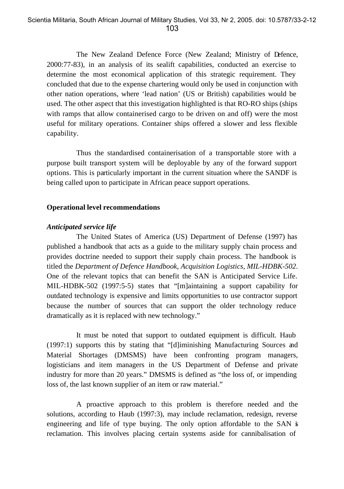The New Zealand Defence Force (New Zealand; Ministry of Defence, 2000:77-83), in an analysis of its sealift capabilities, conducted an exercise to determine the most economical application of this strategic requirement. They concluded that due to the expense chartering would only be used in conjunction with other nation operations, where 'lead nation' (US or British) capabilities would be used. The other aspect that this investigation highlighted is that RO-RO ships (ships with ramps that allow containerised cargo to be driven on and off) were the most useful for military operations. Container ships offered a slower and less flexible capability.

Thus the standardised containerisation of a transportable store with a purpose built transport system will be deployable by any of the forward support options. This is particularly important in the current situation where the SANDF is being called upon to participate in African peace support operations.

#### **Operational level recommendations**

#### *Anticipated service life*

The United States of America (US) Department of Defense (1997) has published a handbook that acts as a guide to the military supply chain process and provides doctrine needed to support their supply chain process. The handbook is titled the *Department of Defence Handbook, Acquisition Logistics, MIL-HDBK-502*. One of the relevant topics that can benefit the SAN is Anticipated Service Life. MIL-HDBK-502 (1997:5-5) states that "[m]aintaining a support capability for outdated technology is expensive and limits opportunities to use contractor support because the number of sources that can support the older technology reduce dramatically as it is replaced with new technology."

It must be noted that support to outdated equipment is difficult. Haub (1997:1) supports this by stating that "[d]iminishing Manufacturing Sources and Material Shortages (DMSMS) have been confronting program managers, logisticians and item managers in the US Department of Defense and private industry for more than 20 years." DMSMS is defined as "the loss of, or impending loss of, the last known supplier of an item or raw material."

A proactive approach to this problem is therefore needed and the solutions, according to Haub (1997:3), may include reclamation, redesign, reverse engineering and life of type buying. The only option affordable to the SAN is reclamation. This involves placing certain systems aside for cannibalisation of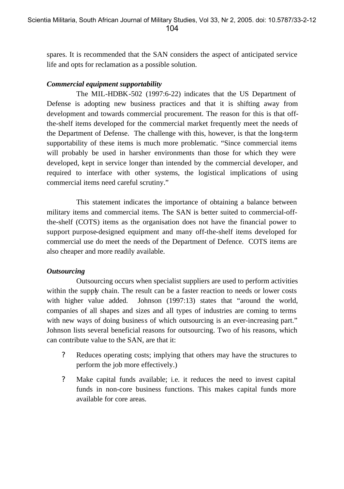spares. It is recommended that the SAN considers the aspect of anticipated service life and opts for reclamation as a possible solution.

# *Commercial equipment supportability*

The MIL-HDBK-502 (1997:6-22) indicates that the US Department of Defense is adopting new business practices and that it is shifting away from development and towards commercial procurement. The reason for this is that offthe-shelf items developed for the commercial market frequently meet the needs of the Department of Defense. The challenge with this, however, is that the long-term supportability of these items is much more problematic. "Since commercial items will probably be used in harsher environments than those for which they were developed, kept in service longer than intended by the commercial developer, and required to interface with other systems, the logistical implications of using commercial items need careful scrutiny."

This statement indicates the importance of obtaining a balance between military items and commercial items. The SAN is better suited to commercial-offthe-shelf (COTS) items as the organisation does not have the financial power to support purpose-designed equipment and many off-the-shelf items developed for commercial use do meet the needs of the Department of Defence. COTS items are also cheaper and more readily available.

# *Outsourcing*

Outsourcing occurs when specialist suppliers are used to perform activities within the supply chain. The result can be a faster reaction to needs or lower costs with higher value added. Johnson (1997:13) states that "around the world, companies of all shapes and sizes and all types of industries are coming to terms with new ways of doing business of which outsourcing is an ever-increasing part." Johnson lists several beneficial reasons for outsourcing. Two of his reasons, which can contribute value to the SAN, are that it:

- ? Reduces operating costs; implying that others may have the structures to perform the job more effectively.)
- ? Make capital funds available; i.e. it reduces the need to invest capital funds in non-core business functions. This makes capital funds more available for core areas.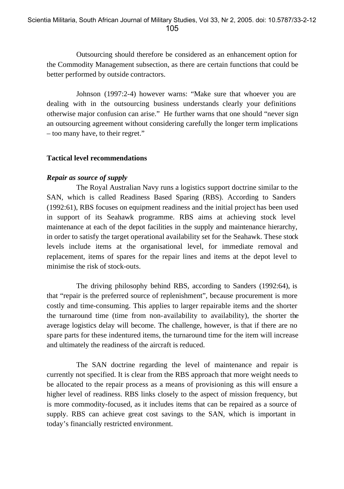Outsourcing should therefore be considered as an enhancement option for the Commodity Management subsection, as there are certain functions that could be better performed by outside contractors.

Johnson (1997:2-4) however warns: "Make sure that whoever you are dealing with in the outsourcing business understands clearly your definitions otherwise major confusion can arise." He further warns that one should "never sign an outsourcing agreement without considering carefully the longer term implications – too many have, to their regret."

#### **Tactical level recommendations**

#### *Repair as source of supply*

The Royal Australian Navy runs a logistics support doctrine similar to the SAN, which is called Readiness Based Sparing (RBS). According to Sanders (1992:61), RBS focuses on equipment readiness and the initial project has been used in support of its Seahawk programme. RBS aims at achieving stock level maintenance at each of the depot facilities in the supply and maintenance hierarchy, in order to satisfy the target operational availability set for the Seahawk. These stock levels include items at the organisational level, for immediate removal and replacement, items of spares for the repair lines and items at the depot level to minimise the risk of stock-outs.

The driving philosophy behind RBS, according to Sanders (1992:64), is that "repair is the preferred source of replenishment", because procurement is more costly and time-consuming. This applies to larger repairable items and the shorter the turnaround time (time from non-availability to availability), the shorter the average logistics delay will become. The challenge, however, is that if there are no spare parts for these indentured items, the turnaround time for the item will increase and ultimately the readiness of the aircraft is reduced.

The SAN doctrine regarding the level of maintenance and repair is currently not specified. It is clear from the RBS approach that more weight needs to be allocated to the repair process as a means of provisioning as this will ensure a higher level of readiness. RBS links closely to the aspect of mission frequency, but is more commodity-focused, as it includes items that can be repaired as a source of supply. RBS can achieve great cost savings to the SAN, which is important in today's financially restricted environment.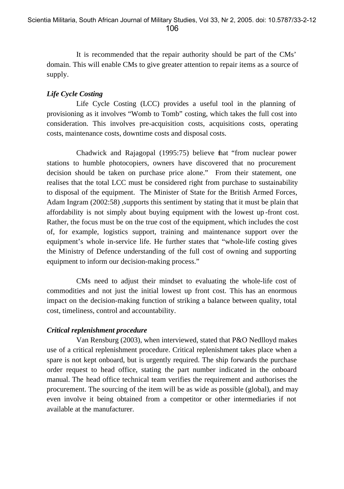It is recommended that the repair authority should be part of the CMs' domain. This will enable CMs to give greater attention to repair items as a source of supply.

# *Life Cycle Costing*

Life Cycle Costing (LCC) provides a useful tool in the planning of provisioning as it involves "Womb to Tomb" costing, which takes the full cost into consideration. This involves pre-acquisition costs, acquisitions costs, operating costs, maintenance costs, downtime costs and disposal costs.

Chadwick and Rajagopal (1995:75) believe that "from nuclear power stations to humble photocopiers, owners have discovered that no procurement decision should be taken on purchase price alone." From their statement, one realises that the total LCC must be considered right from purchase to sustainability to disposal of the equipment. The Minister of State for the British Armed Forces, Adam Ingram (2002:58) ,supports this sentiment by stating that it must be plain that affordability is not simply about buying equipment with the lowest up -front cost. Rather, the focus must be on the true cost of the equipment, which includes the cost of, for example, logistics support, training and maintenance support over the equipment's whole in-service life. He further states that "whole-life costing gives the Ministry of Defence understanding of the full cost of owning and supporting equipment to inform our decision-making process."

CMs need to adjust their mindset to evaluating the whole-life cost of commodities and not just the initial lowest up front cost. This has an enormous impact on the decision-making function of striking a balance between quality, total cost, timeliness, control and accountability.

# *Critical replenishment procedure*

Van Rensburg (2003), when interviewed, stated that P&O Nedlloyd makes use of a critical replenishment procedure. Critical replenishment takes place when a spare is not kept onboard, but is urgently required. The ship forwards the purchase order request to head office, stating the part number indicated in the onboard manual. The head office technical team verifies the requirement and authorises the procurement. The sourcing of the item will be as wide as possible (global), and may even involve it being obtained from a competitor or other intermediaries if not available at the manufacturer.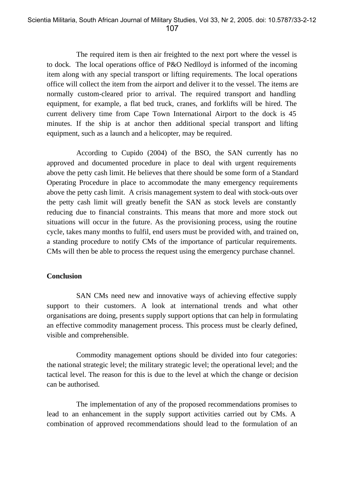The required item is then air freighted to the next port where the vessel is to dock. The local operations office of P&O Nedlloyd is informed of the incoming item along with any special transport or lifting requirements. The local operations office will collect the item from the airport and deliver it to the vessel. The items are normally custom-cleared prior to arrival. The required transport and handling equipment, for example, a flat bed truck, cranes, and forklifts will be hired. The current delivery time from Cape Town International Airport to the dock is 45 minutes. If the ship is at anchor then additional special transport and lifting equipment, such as a launch and a helicopter, may be required.

According to Cupido (2004) of the BSO, the SAN currently has no approved and documented procedure in place to deal with urgent requirements above the petty cash limit. He believes that there should be some form of a Standard Operating Procedure in place to accommodate the many emergency requirements above the petty cash limit. A crisis management system to deal with stock-outs over the petty cash limit will greatly benefit the SAN as stock levels are constantly reducing due to financial constraints. This means that more and more stock out situations will occur in the future. As the provisioning process, using the routine cycle, takes many months to fulfil, end users must be provided with, and trained on, a standing procedure to notify CMs of the importance of particular requirements. CMs will then be able to process the request using the emergency purchase channel.

### **Conclusion**

SAN CMs need new and innovative ways of achieving effective supply support to their customers. A look at international trends and what other organisations are doing, presents supply support options that can help in formulating an effective commodity management process. This process must be clearly defined, visible and comprehensible.

Commodity management options should be divided into four categories: the national strategic level; the military strategic level; the operational level; and the tactical level. The reason for this is due to the level at which the change or decision can be authorised.

The implementation of any of the proposed recommendations promises to lead to an enhancement in the supply support activities carried out by CMs. A combination of approved recommendations should lead to the formulation of an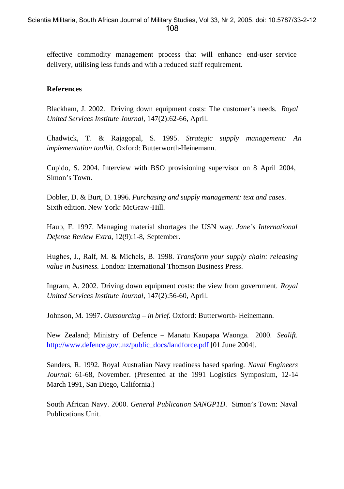effective commodity management process that will enhance end-user service delivery, utilising less funds and with a reduced staff requirement.

#### **References**

Blackham, J. 2002. Driving down equipment costs: The customer's needs. *Royal United Services Institute Journal*, 147(2):62-66, April.

Chadwick, T. & Rajagopal, S. 1995. *Strategic supply management: An implementation toolkit.* Oxford: Butterworth-Heinemann.

Cupido, S. 2004. Interview with BSO provisioning supervisor on 8 April 2004, Simon's Town.

Dobler, D. & Burt, D. 1996*. Purchasing and supply management: text and cases*. Sixth edition. New York: McGraw-Hill.

Haub, F. 1997. Managing material shortages the USN way. *Jane's International Defense Review Extra*, 12(9):1-8, September.

Hughes, J., Ralf, M. & Michels, B. 1998. *Transform your supply chain: releasing value in business.* London: International Thomson Business Press.

Ingram, A. 2002*.* Driving down equipment costs: the view from government. *Royal United Services Institute Journal*, 147(2):56-60, April.

Johnson, M. 1997. *Outsourcing – in brief*. Oxford: Butterworth- Heinemann.

New Zealand; Ministry of Defence – Manatu Kaupapa Waonga. 2000. *Sealift.*  http://www.defence.govt.nz/public\_docs/landforce.pdf [01 June 2004].

Sanders, R. 1992. Royal Australian Navy readiness based sparing. *Naval Engineers Journal*: 61-68, November. (Presented at the 1991 Logistics Symposium, 12-14 March 1991, San Diego, California.)

South African Navy. 2000. *General Publication SANGP1D*. Simon's Town: Naval Publications Unit.